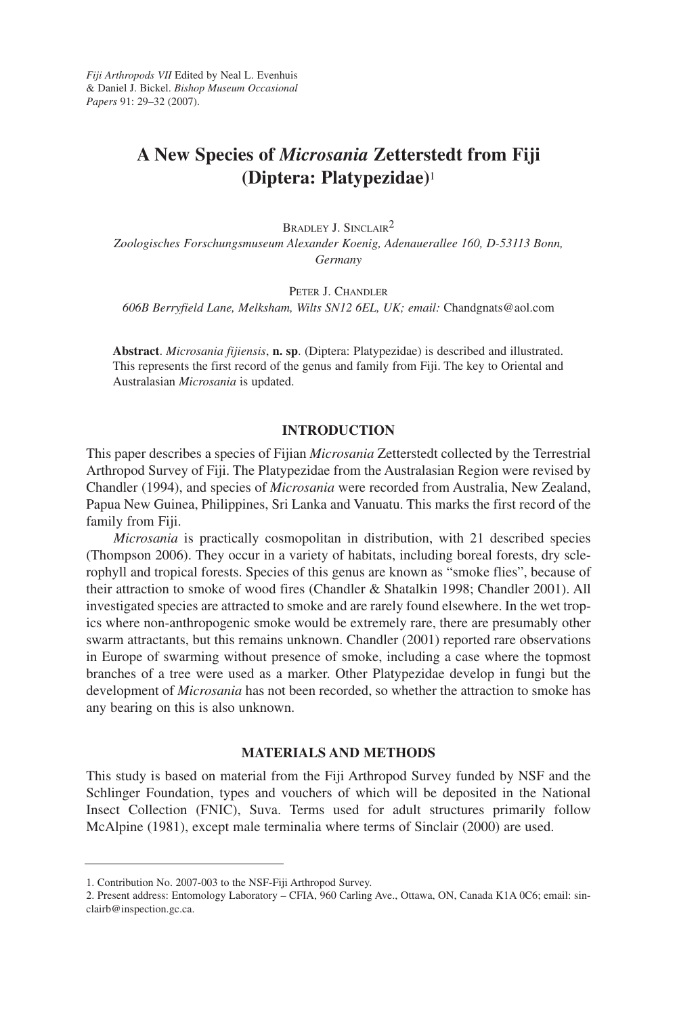*Fiji Arthropods VII* Edited by Neal L. Evenhuis & Daniel J. Bickel. *Bishop Museum Occasional Papers* 91: 29–32 (2007).

# **A New Species of** *Microsania* **Zetterstedt from Fiji (Diptera: Platypezidae)**<sup>1</sup>

BRADLEY J. SINCLAIR2

*Zoologisches Forschungsmuseum Alexander Koenig, Adenauerallee 160, D-53113 Bonn, Germany*

PETER J. CHANDLER

*606B Berryfield Lane, Melksham, Wilts SN12 6EL, UK; email:* Chandgnats@aol.com

**Abstract**. *Microsania fijiensis*, **n. sp**. (Diptera: Platypezidae) is described and illustrated. This represents the first record of the genus and family from Fiji. The key to Oriental and Australasian *Microsania* is updated.

## **INTRODUCTION**

This paper describes a species of Fijian *Microsania* Zetterstedt collected by the Terrestrial Arthropod Survey of Fiji. The Platypezidae from the Australasian Region were revised by Chandler (1994), and species of *Microsania* were recorded from Australia, New Zealand, Papua New Guinea, Philippines, Sri Lanka and Vanuatu. This marks the first record of the family from Fiji.

*Microsania* is practically cosmopolitan in distribution, with 21 described species (Thompson 2006). They occur in a variety of habitats, including boreal forests, dry sclerophyll and tropical forests. Species of this genus are known as "smoke flies", because of their attraction to smoke of wood fires (Chandler & Shatalkin 1998; Chandler 2001). All investigated species are attracted to smoke and are rarely found elsewhere. In the wet tropics where non-anthropogenic smoke would be extremely rare, there are presumably other swarm attractants, but this remains unknown. Chandler (2001) reported rare observations in Europe of swarming without presence of smoke, including a case where the topmost branches of a tree were used as a marker. Other Platypezidae develop in fungi but the development of *Microsania* has not been recorded, so whether the attraction to smoke has any bearing on this is also unknown.

## **MATERIALS AND METHODS**

This study is based on material from the Fiji Arthropod Survey funded by NSF and the Schlinger Foundation, types and vouchers of which will be deposited in the National Insect Collection (FNIC), Suva. Terms used for adult structures primarily follow McAlpine (1981), except male terminalia where terms of Sinclair (2000) are used.

<sup>1.</sup> Contribution No. 2007-003 to the NSF-Fiji Arthropod Survey.

<sup>2.</sup> Present address: Entomology Laboratory – CFIA, 960 Carling Ave., Ottawa, ON, Canada K1A 0C6; email: sinclairb@inspection.gc.ca.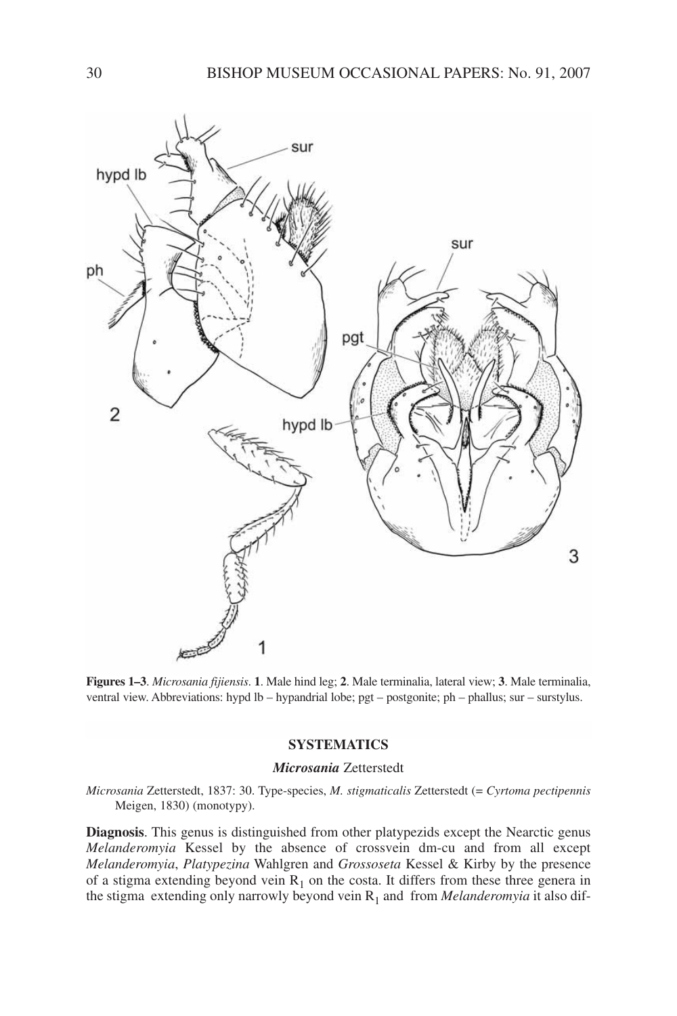

**Figures 1–3**. *Microsania fijiensis*. **1**. Male hind leg; **2**. Male terminalia, lateral view; **3**. Male terminalia, ventral view. Abbreviations: hypd lb – hypandrial lobe; pgt – postgonite; ph – phallus; sur – surstylus.

# **SYSTEMATICS**

#### *Microsania* Zetterstedt

*Microsania* Zetterstedt, 1837: 30. Type-species, *M. stigmaticalis* Zetterstedt (= *Cyrtoma pectipennis* Meigen, 1830) (monotypy).

**Diagnosis**. This genus is distinguished from other platypezids except the Nearctic genus *Melanderomyia* Kessel by the absence of crossvein dm-cu and from all except *Melanderomyia*, *Platypezina* Wahlgren and *Grossoseta* Kessel & Kirby by the presence of a stigma extending beyond vein  $R_1$  on the costa. It differs from these three genera in the stigma extending only narrowly beyond vein  $R_1$  and from *Melanderomyia* it also dif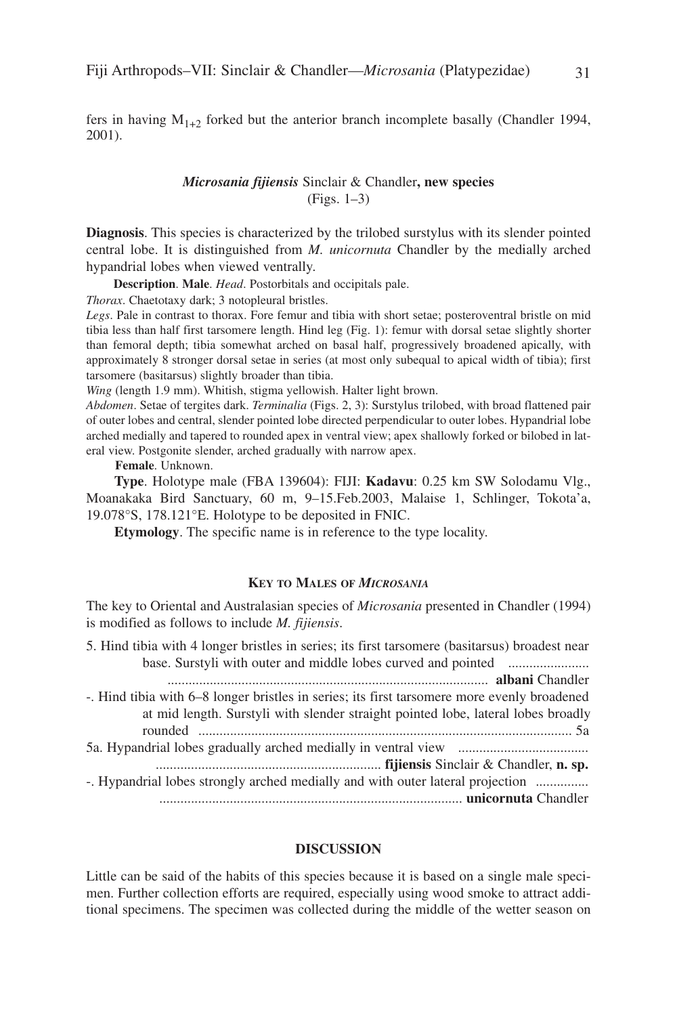fers in having  $M_{1+2}$  forked but the anterior branch incomplete basally (Chandler 1994, 2001).

# *Microsania fijiensis* Sinclair & Chandler**, new species** (Figs. 1–3)

**Diagnosis**. This species is characterized by the trilobed surstylus with its slender pointed central lobe. It is distinguished from *M. unicornuta* Chandler by the medially arched hypandrial lobes when viewed ventrally.

**Description**. **Male**. *Head*. Postorbitals and occipitals pale.

*Thorax*. Chaetotaxy dark; 3 notopleural bristles.

*Legs*. Pale in contrast to thorax. Fore femur and tibia with short setae; posteroventral bristle on mid tibia less than half first tarsomere length. Hind leg (Fig. 1): femur with dorsal setae slightly shorter than femoral depth; tibia somewhat arched on basal half, progressively broadened apically, with approximately 8 stronger dorsal setae in series (at most only subequal to apical width of tibia); first tarsomere (basitarsus) slightly broader than tibia.

*Wing* (length 1.9 mm). Whitish, stigma yellowish. Halter light brown.

*Abdomen*. Setae of tergites dark. *Terminalia* (Figs. 2, 3): Surstylus trilobed, with broad flattened pair of outer lobes and central, slender pointed lobe directed perpendicular to outer lobes. Hypandrial lobe arched medially and tapered to rounded apex in ventral view; apex shallowly forked or bilobed in lateral view. Postgonite slender, arched gradually with narrow apex.

**Female**. Unknown.

**Type**. Holotype male (FBA 139604): FIJI: **Kadavu**: 0.25 km SW Solodamu Vlg., Moanakaka Bird Sanctuary, 60 m, 9–15.Feb.2003, Malaise 1, Schlinger, Tokota'a, 19.078°S, 178.121°E. Holotype to be deposited in FNIC.

**Etymology**. The specific name is in reference to the type locality.

## **KEY TO MALES OF** *MICROSANIA*

The key to Oriental and Australasian species of *Microsania* presented in Chandler (1994) is modified as follows to include *M. fijiensis*.

5. Hind tibia with 4 longer bristles in series; its first tarsomere (basitarsus) broadest near base. Surstyli with outer and middle lobes curved and pointed ....................... ........................................................................................... **albani** Chandler -. Hind tibia with 6–8 longer bristles in series; its first tarsomere more evenly broadened at mid length. Surstyli with slender straight pointed lobe, lateral lobes broadly rounded .......................................................................................................... 5a 5a. Hypandrial lobes gradually arched medially in ventral view ..................................... ................................................................ **fijiensis** Sinclair & Chandler, **n. sp.** -. Hypandrial lobes strongly arched medially and with outer lateral projection ............... ...................................................................................... **unicornuta** Chandler

### **DISCUSSION**

Little can be said of the habits of this species because it is based on a single male specimen. Further collection efforts are required, especially using wood smoke to attract additional specimens. The specimen was collected during the middle of the wetter season on